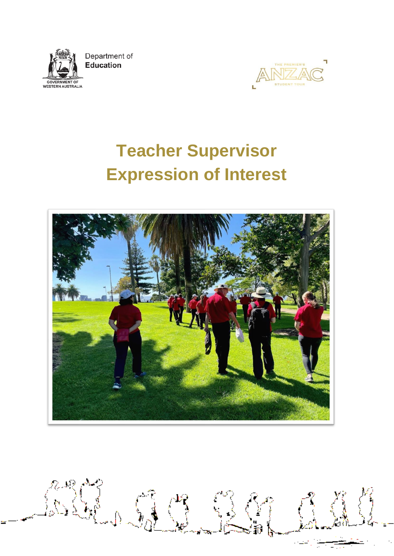

Department of Education



# **Teacher Supervisor Expression of Interest**



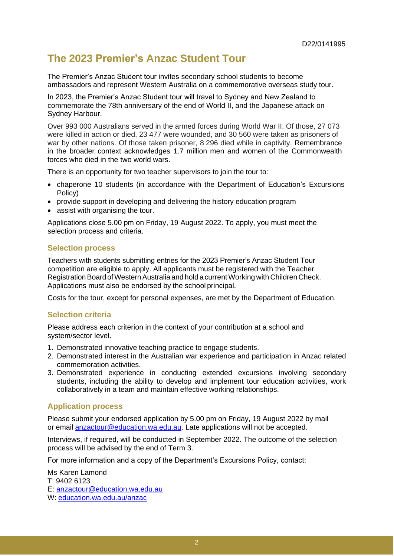# **The 2023 Premier's Anzac Student Tour**

The Premier's Anzac Student tour invites secondary school students to become ambassadors and represent Western Australia on a commemorative overseas study tour.

In 2023, the Premier's Anzac Student tour will travel to Sydney and New Zealand to commemorate the 78th anniversary of the end of World II, and the Japanese attack on Sydney Harbour.

Over 993 000 Australians served in the armed forces during World War II. Of those, 27 073 were killed in action or died, 23 477 were wounded, and 30 560 were taken as prisoners of war by other nations. Of those taken prisoner, 8 296 died while in captivity. Remembrance in the broader context acknowledges 1.7 million men and women of the Commonwealth forces who died in the two world wars.

There is an opportunity for two teacher supervisors to join the tour to:

- chaperone 10 students (in accordance with the Department of Education's Excursions Policy)
- provide support in developing and delivering the history education program
- assist with organising the tour.

Applications close 5.00 pm on Friday, 19 August 2022. To apply, you must meet the selection process and criteria.

#### **Selection process**

Teachers with students submitting entries for the 2023 Premier's Anzac Student Tour competition are eligible to apply. All applicants must be registered with the Teacher Registration Board of Western Australia and hold a current Working with Children Check. Applications must also be endorsed by the school principal.

Costs for the tour, except for personal expenses, are met by the Department of Education.

#### **Selection criteria**

Please address each criterion in the context of your contribution at a school and system/sector level.

- 1. Demonstrated innovative teaching practice to engage students.
- 2. Demonstrated interest in the Australian war experience and participation in Anzac related commemoration activities.
- 3. Demonstrated experience in conducting extended excursions involving secondary students, including the ability to develop and implement tour education activities, work collaboratively in a team and maintain effective working relationships.

## **Application process**

Please submit your endorsed application by 5.00 pm on Friday, 19 August 2022 by mail or email [anzactour@education.wa.edu.au. L](mailto:anzactour@education.wa.edu.au)ate applications will not be accepted.

Interviews, if required, will be conducted in September 2022. The outcome of the selection process will be advised by the end of Term 3.

For more information and a copy of the Department's Excursions Policy, contact:

Ms Karen Lamond T: 9402 6123 E: [anzactour@education.wa.edu.au](mailto:anzactour@education.wa.edu.au) W: education.wa.edu.au/anzac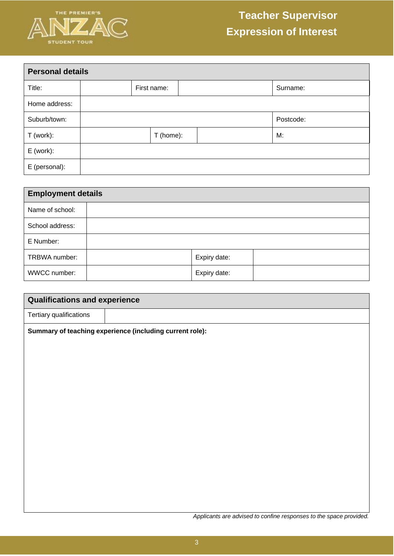

| <b>Personal details</b> |           |             |  |  |           |
|-------------------------|-----------|-------------|--|--|-----------|
| Title:                  |           | First name: |  |  | Surname:  |
| Home address:           |           |             |  |  |           |
| Suburb/town:            |           |             |  |  | Postcode: |
| T (work):               | T (home): |             |  |  | M:        |
| $E$ (work):             |           |             |  |  |           |
| E (personal):           |           |             |  |  |           |

| <b>Employment details</b> |  |              |  |  |
|---------------------------|--|--------------|--|--|
| Name of school:           |  |              |  |  |
| School address:           |  |              |  |  |
| E Number:                 |  |              |  |  |
| TRBWA number:             |  | Expiry date: |  |  |
| WWCC number:              |  | Expiry date: |  |  |

| <b>Qualifications and experience</b> |                                                          |  |  |  |  |
|--------------------------------------|----------------------------------------------------------|--|--|--|--|
| Tertiary qualifications              |                                                          |  |  |  |  |
|                                      | Summary of teaching experience (including current role): |  |  |  |  |
|                                      |                                                          |  |  |  |  |
|                                      |                                                          |  |  |  |  |
|                                      |                                                          |  |  |  |  |
|                                      |                                                          |  |  |  |  |
|                                      |                                                          |  |  |  |  |
|                                      |                                                          |  |  |  |  |
|                                      |                                                          |  |  |  |  |
|                                      |                                                          |  |  |  |  |
|                                      |                                                          |  |  |  |  |
|                                      |                                                          |  |  |  |  |

*Applicants are advised to confine responses to the space provided.*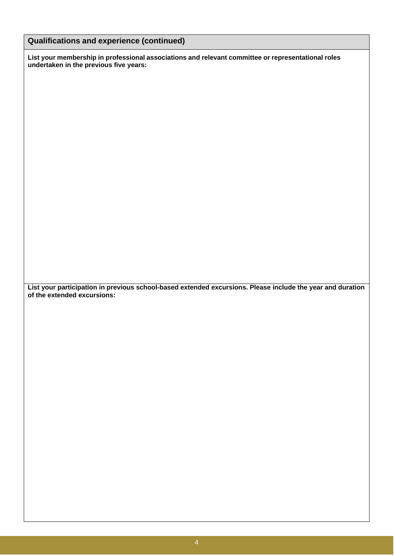| <b>Qualifications and experience (continued)</b> |  |  |
|--------------------------------------------------|--|--|
|--------------------------------------------------|--|--|

**List your membership in professional associations and relevant committee or representational roles undertaken in the previous five years:**

**List your participation in previous school-based extended excursions. Please include the year and duration of the extended excursions:**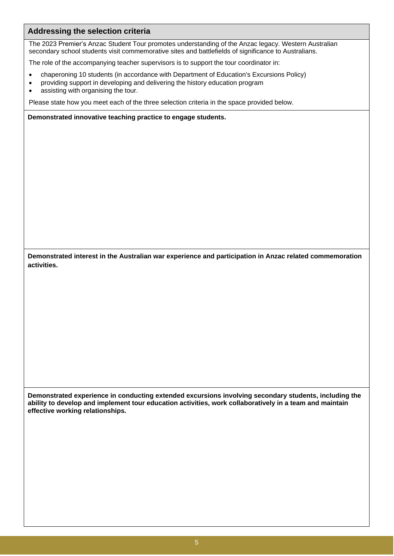# **Addressing the selection criteria**

The 2023 Premier's Anzac Student Tour promotes understanding of the Anzac legacy. Western Australian secondary school students visit commemorative sites and battlefields of significance to Australians.

The role of the accompanying teacher supervisors is to support the tour coordinator in:

- chaperoning 10 students (in accordance with Department of Education's Excursions Policy)
- providing support in developing and delivering the history education program
- assisting with organising the tour.

Please state how you meet each of the three selection criteria in the space provided below.

**Demonstrated innovative teaching practice to engage students.**

**Demonstrated interest in the Australian war experience and participation in Anzac related commemoration activities.**

**Demonstrated experience in conducting extended excursions involving secondary students, including the ability to develop and implement tour education activities, work collaboratively in a team and maintain effective working relationships.**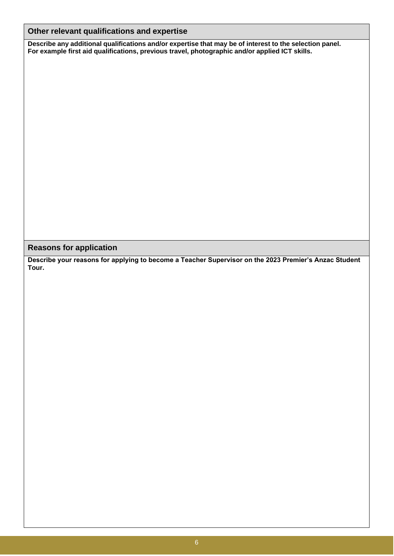# **Other relevant qualifications and expertise**

**Describe any additional qualifications and/or expertise that may be of interest to the selection panel. For example first aid qualifications, previous travel, photographic and/or applied ICT skills.**

**Reasons for application**

**Describe your reasons for applying to become a Teacher Supervisor on the 2023 Premier's Anzac Student Tour.**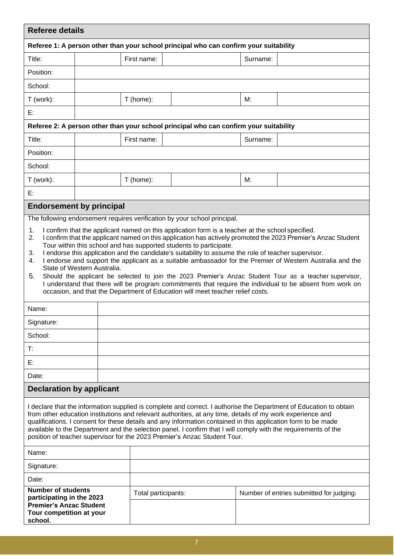| <b>Referee details</b>                                                                                                                                                                                                                                                                                                                                                                                                                                                                                                                                                                                                                                                                                                                                                                                                                                                                                                                                                                                          |  |                     |                                                                                       |          |                                          |  |
|-----------------------------------------------------------------------------------------------------------------------------------------------------------------------------------------------------------------------------------------------------------------------------------------------------------------------------------------------------------------------------------------------------------------------------------------------------------------------------------------------------------------------------------------------------------------------------------------------------------------------------------------------------------------------------------------------------------------------------------------------------------------------------------------------------------------------------------------------------------------------------------------------------------------------------------------------------------------------------------------------------------------|--|---------------------|---------------------------------------------------------------------------------------|----------|------------------------------------------|--|
|                                                                                                                                                                                                                                                                                                                                                                                                                                                                                                                                                                                                                                                                                                                                                                                                                                                                                                                                                                                                                 |  |                     | Referee 1: A person other than your school principal who can confirm your suitability |          |                                          |  |
| Title:                                                                                                                                                                                                                                                                                                                                                                                                                                                                                                                                                                                                                                                                                                                                                                                                                                                                                                                                                                                                          |  | First name:         |                                                                                       | Surname: |                                          |  |
| Position:                                                                                                                                                                                                                                                                                                                                                                                                                                                                                                                                                                                                                                                                                                                                                                                                                                                                                                                                                                                                       |  |                     |                                                                                       |          |                                          |  |
| School:                                                                                                                                                                                                                                                                                                                                                                                                                                                                                                                                                                                                                                                                                                                                                                                                                                                                                                                                                                                                         |  |                     |                                                                                       |          |                                          |  |
| T (work):                                                                                                                                                                                                                                                                                                                                                                                                                                                                                                                                                                                                                                                                                                                                                                                                                                                                                                                                                                                                       |  | T (home):           |                                                                                       |          |                                          |  |
| E:                                                                                                                                                                                                                                                                                                                                                                                                                                                                                                                                                                                                                                                                                                                                                                                                                                                                                                                                                                                                              |  |                     |                                                                                       |          |                                          |  |
|                                                                                                                                                                                                                                                                                                                                                                                                                                                                                                                                                                                                                                                                                                                                                                                                                                                                                                                                                                                                                 |  |                     | Referee 2: A person other than your school principal who can confirm your suitability |          |                                          |  |
| Title:                                                                                                                                                                                                                                                                                                                                                                                                                                                                                                                                                                                                                                                                                                                                                                                                                                                                                                                                                                                                          |  | First name:         |                                                                                       |          | Surname:                                 |  |
| Position:                                                                                                                                                                                                                                                                                                                                                                                                                                                                                                                                                                                                                                                                                                                                                                                                                                                                                                                                                                                                       |  |                     |                                                                                       |          |                                          |  |
| School:                                                                                                                                                                                                                                                                                                                                                                                                                                                                                                                                                                                                                                                                                                                                                                                                                                                                                                                                                                                                         |  |                     |                                                                                       |          |                                          |  |
| T (work):                                                                                                                                                                                                                                                                                                                                                                                                                                                                                                                                                                                                                                                                                                                                                                                                                                                                                                                                                                                                       |  | T (home):           |                                                                                       | M:       |                                          |  |
| E:                                                                                                                                                                                                                                                                                                                                                                                                                                                                                                                                                                                                                                                                                                                                                                                                                                                                                                                                                                                                              |  |                     |                                                                                       |          |                                          |  |
| <b>Endorsement by principal</b>                                                                                                                                                                                                                                                                                                                                                                                                                                                                                                                                                                                                                                                                                                                                                                                                                                                                                                                                                                                 |  |                     |                                                                                       |          |                                          |  |
| The following endorsement requires verification by your school principal.<br>I confirm that the applicant named on this application form is a teacher at the school specified.<br>1.<br>I confirm that the applicant named on this application has actively promoted the 2023 Premier's Anzac Student<br>2.<br>Tour within this school and has supported students to participate.<br>I endorse this application and the candidate's suitability to assume the role of teacher supervisor.<br>3.<br>I endorse and support the applicant as a suitable ambassador for the Premier of Western Australia and the<br>4.<br>State of Western Australia.<br>Should the applicant be selected to join the 2023 Premier's Anzac Student Tour as a teacher supervisor,<br>5.<br>I understand that there will be program commitments that require the individual to be absent from work on<br>occasion, and that the Department of Education will meet teacher relief costs.<br>Name:<br>Signature:<br>School:<br>Т.<br>E: |  |                     |                                                                                       |          |                                          |  |
| <b>Declaration by applicant</b>                                                                                                                                                                                                                                                                                                                                                                                                                                                                                                                                                                                                                                                                                                                                                                                                                                                                                                                                                                                 |  |                     |                                                                                       |          |                                          |  |
| I declare that the information supplied is complete and correct. I authorise the Department of Education to obtain<br>from other education institutions and relevant authorities, at any time, details of my work experience and<br>qualifications. I consent for these details and any information contained in this application form to be made<br>available to the Department and the selection panel. I confirm that I will comply with the requirements of the<br>position of teacher supervisor for the 2023 Premier's Anzac Student Tour.                                                                                                                                                                                                                                                                                                                                                                                                                                                                |  |                     |                                                                                       |          |                                          |  |
| Name:                                                                                                                                                                                                                                                                                                                                                                                                                                                                                                                                                                                                                                                                                                                                                                                                                                                                                                                                                                                                           |  |                     |                                                                                       |          |                                          |  |
| Signature:                                                                                                                                                                                                                                                                                                                                                                                                                                                                                                                                                                                                                                                                                                                                                                                                                                                                                                                                                                                                      |  |                     |                                                                                       |          |                                          |  |
| Date:                                                                                                                                                                                                                                                                                                                                                                                                                                                                                                                                                                                                                                                                                                                                                                                                                                                                                                                                                                                                           |  |                     |                                                                                       |          |                                          |  |
| <b>Number of students</b><br>participating in the 2023<br><b>Premier's Anzac Student</b><br>Tour competition at your<br>school.                                                                                                                                                                                                                                                                                                                                                                                                                                                                                                                                                                                                                                                                                                                                                                                                                                                                                 |  | Total participants: |                                                                                       |          | Number of entries submitted for judging. |  |